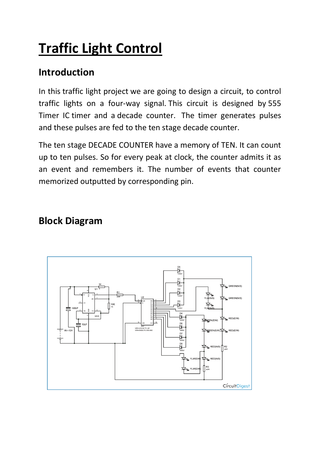# **Traffic Light Control**

## **Introduction**

In this traffic light project we are going to design a circuit, to control traffic lights on a four-way signal. This circuit is designed by [555](https://circuitdigest.com/555-timer-circuits) [Timer IC](https://circuitdigest.com/555-timer-circuits) timer and a [decade counter.](https://circuitdigest.com/4017-circuits) The timer generates pulses and these pulses are fed to the ten stage decade counter.

The ten stage DECADE COUNTER have a memory of TEN. It can count up to ten pulses. So for every peak at clock, the counter admits it as an event and remembers it. The number of events that counter memorized outputted by corresponding pin.

#### **Block Diagram**

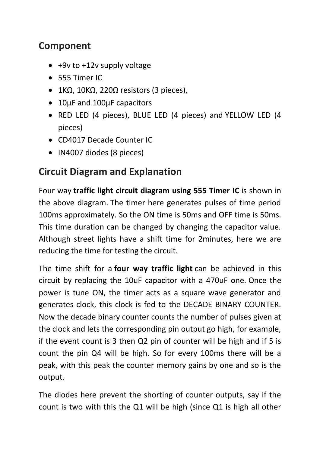### **Component**

- +9v to +12v supply voltage
- 555 Timer IC
- 1KΩ, 10KΩ, 220Ω resistors (3 pieces),
- 10µF and 100µF capacitors
- RED LED (4 pieces), BLUE LED (4 pieces) and YELLOW LED (4 pieces)
- CD4017 Decade Counter IC
- IN4007 diodes (8 pieces)

## **Circuit Diagram and Explanation**

Four way **traffic light circuit diagram using 555 Timer IC** is shown in the above diagram. The timer here generates pulses of time period 100ms approximately. So the ON time is 50ms and OFF time is 50ms. This time duration can be changed by changing the capacitor value. Although street lights have a shift time for 2minutes, here we are reducing the time for testing the circuit.

The time shift for a **four way traffic light** can be achieved in this circuit by replacing the 10uF capacitor with a 470uF one. Once the power is tune ON, the timer acts as a square wave generator and generates clock, this clock is fed to the DECADE BINARY COUNTER. Now the decade binary counter counts the number of pulses given at the clock and lets the corresponding pin output go high, for example, if the event count is 3 then Q2 pin of counter will be high and if 5 is count the pin Q4 will be high. So for every 100ms there will be a peak, with this peak the counter memory gains by one and so is the output.

The diodes here prevent the shorting of counter outputs, say if the count is two with this the Q1 will be high (since Q1 is high all other